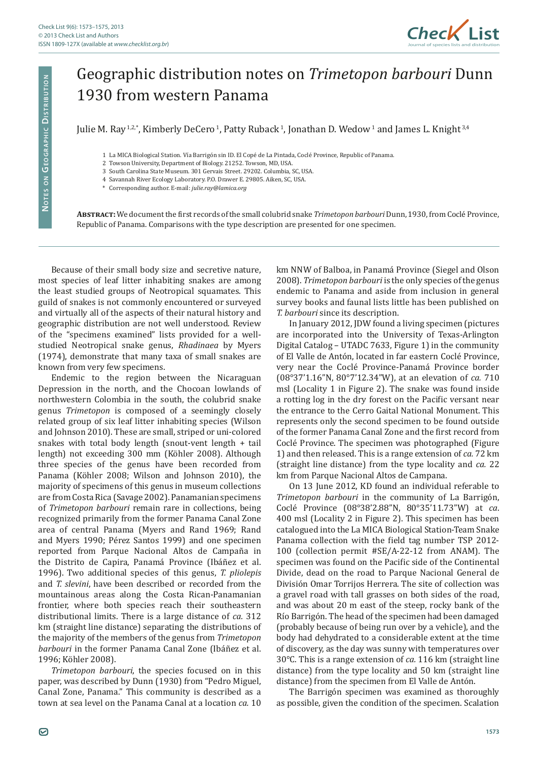

## Geographic distribution notes on *Trimetopon barbouri* Dunn 1930 from western Panama

Julie M. Ray<sup>1,2,\*</sup>, Kimberly DeCero<sup>1</sup>, Patty Ruback<sup>1</sup>, Jonathan D. Wedow<sup>1</sup> and James L. Knight<sup>3,4</sup>

- 4 Savannah River Ecology Laboratory. P.O. Drawer E. 29805. Aiken, SC, USA.
- \* Corresponding author. E-mail: *julie.ray@lamica.org*

**Abstract:** We document the first records of the small colubrid snake *Trimetopon barbouri* Dunn, 1930, from Coclé Province, Republic of Panama. Comparisons with the type description are presented for one specimen.

Because of their small body size and secretive nature, most species of leaf litter inhabiting snakes are among the least studied groups of Neotropical squamates. This guild of snakes is not commonly encountered or surveyed and virtually all of the aspects of their natural history and geographic distribution are not well understood. Review of the "specimens examined" lists provided for a wellstudied Neotropical snake genus, *Rhadinaea* by Myers (1974), demonstrate that many taxa of small snakes are known from very few specimens.

Endemic to the region between the Nicaraguan Depression in the north, and the Chocoan lowlands of northwestern Colombia in the south, the colubrid snake genus *Trimetopon* is composed of a seemingly closely related group of six leaf litter inhabiting species (Wilson and Johnson 2010). These are small, striped or uni-colored snakes with total body length (snout-vent length + tail length) not exceeding 300 mm (Köhler 2008). Although three species of the genus have been recorded from Panama (Köhler 2008; Wilson and Johnson 2010), the majority of specimens of this genus in museum collections are from Costa Rica (Savage 2002). Panamanian specimens of *Trimetopon barbouri* remain rare in collections, being recognized primarily from the former Panama Canal Zone area of central Panama (Myers and Rand 1969; Rand and Myers 1990; Pérez Santos 1999) and one specimen reported from Parque Nacional Altos de Campaña in the Distrito de Capira, Panamá Province (Ibáñez et al. 1996). Two additional species of this genus, *T. pliolepis*  and *T. slevini*, have been described or recorded from the mountainous areas along the Costa Rican-Panamanian frontier, where both species reach their southeastern distributional limits. There is a large distance of *ca.* 312 km (straight line distance) separating the distributions of the majority of the members of the genus from *Trimetopon barbouri* in the former Panama Canal Zone (Ibáñez et al. 1996; Köhler 2008).

*Trimetopon barbouri*, the species focused on in this paper, was described by Dunn (1930) from "Pedro Miguel, Canal Zone, Panama." This community is described as a town at sea level on the Panama Canal at a location *ca.* 10 km NNW of Balboa, in Panamá Province (Siegel and Olson 2008). *Trimetopon barbouri* is the only species of the genus endemic to Panama and aside from inclusion in general survey books and faunal lists little has been published on *T. barbouri* since its description.

In January 2012, JDW found a living specimen (pictures are incorporated into the University of Texas-Arlington Digital Catalog – UTADC 7633, Figure 1) in the community of El Valle de Antón, located in far eastern Coclé Province, very near the Coclé Province-Panamá Province border (08°37'1.16"N, 80°7'12.34"W), at an elevation of *ca.* 710 msl (Locality 1 in Figure 2). The snake was found inside a rotting log in the dry forest on the Pacific versant near the entrance to the Cerro Gaital National Monument. This represents only the second specimen to be found outside of the former Panama Canal Zone and the first record from Coclé Province. The specimen was photographed (Figure 1) and then released. This is a range extension of *ca.* 72 km (straight line distance) from the type locality and *ca.* 22 km from Parque Nacional Altos de Campana.

On 13 June 2012, KD found an individual referable to *Trimetopon barbouri* in the community of La Barrigón, Coclé Province (08°38'2.88"N, 80°35'11.73"W) at *ca*. 400 msl (Locality 2 in Figure 2). This specimen has been catalogued into the La MICA Biological Station-Team Snake Panama collection with the field tag number TSP 2012- 100 (collection permit #SE/A-22-12 from ANAM). The specimen was found on the Pacific side of the Continental Divide, dead on the road to Parque Nacional General de División Omar Torrijos Herrera. The site of collection was a gravel road with tall grasses on both sides of the road, and was about 20 m east of the steep, rocky bank of the Río Barrigón. The head of the specimen had been damaged (probably because of being run over by a vehicle), and the body had dehydrated to a considerable extent at the time of discovery, as the day was sunny with temperatures over 30°C. This is a range extension of *ca.* 116 km (straight line distance) from the type locality and 50 km (straight line distance) from the specimen from El Valle de Antón.

The Barrigón specimen was examined as thoroughly as possible, given the condition of the specimen. Scalation

<sup>1</sup> La MICA Biological Station. Vía Barrigón sin ID. El Copé de La Pintada, Coclé Province, Republic of Panama.

<sup>2</sup> Towson University, Department of Biology. 21252. Towson, MD, USA.

<sup>3</sup> South Carolina State Museum. 301 Gervais Street. 29202. Columbia, SC, USA.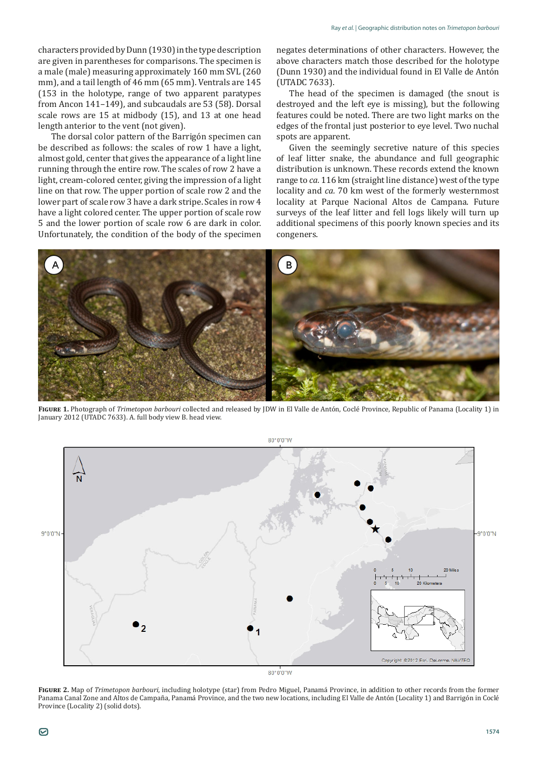characters provided by Dunn (1930) in the type description are given in parentheses for comparisons. The specimen is a male (male) measuring approximately 160 mm SVL (260 mm), and a tail length of 46 mm (65 mm). Ventrals are 145 (153 in the holotype, range of two apparent paratypes from Ancon 141–149), and subcaudals are 53 (58). Dorsal scale rows are 15 at midbody (15), and 13 at one head length anterior to the vent (not given).

The dorsal color pattern of the Barrigón specimen can be described as follows: the scales of row 1 have a light, almost gold, center that gives the appearance of a light line running through the entire row. The scales of row 2 have a light, cream-colored center, giving the impression of a light line on that row. The upper portion of scale row 2 and the lower part of scale row 3 have a dark stripe. Scales in row 4 have a light colored center. The upper portion of scale row 5 and the lower portion of scale row 6 are dark in color. Unfortunately, the condition of the body of the specimen

negates determinations of other characters. However, the above characters match those described for the holotype (Dunn 1930) and the individual found in El Valle de Antón (UTADC 7633).

The head of the specimen is damaged (the snout is destroyed and the left eye is missing), but the following features could be noted. There are two light marks on the edges of the frontal just posterior to eye level. Two nuchal spots are apparent.

Given the seemingly secretive nature of this species of leaf litter snake, the abundance and full geographic distribution is unknown. These records extend the known range to *ca.* 116 km (straight line distance) west of the type locality and *ca.* 70 km west of the formerly westernmost locality at Parque Nacional Altos de Campana. Future surveys of the leaf litter and fell logs likely will turn up additional specimens of this poorly known species and its congeners.



**Figure 1.** Photograph of *Trimetopon barbouri* collected and released by JDW in El Valle de Antón, Coclé Province, Republic of Panama (Locality 1) in January 2012 (UTADC 7633). A. full body view B. head view.



80°0'0"W

**Figure 2.** Map of *Trimetopon barbouri*, including holotype (star) from Pedro Miguel, Panamá Province, in addition to other records from the former Panama Canal Zone and Altos de Campaña, Panamá Province, and the two new locations, including El Valle de Antón (Locality 1) and Barrigón in Coclé Province (Locality 2) (solid dots).